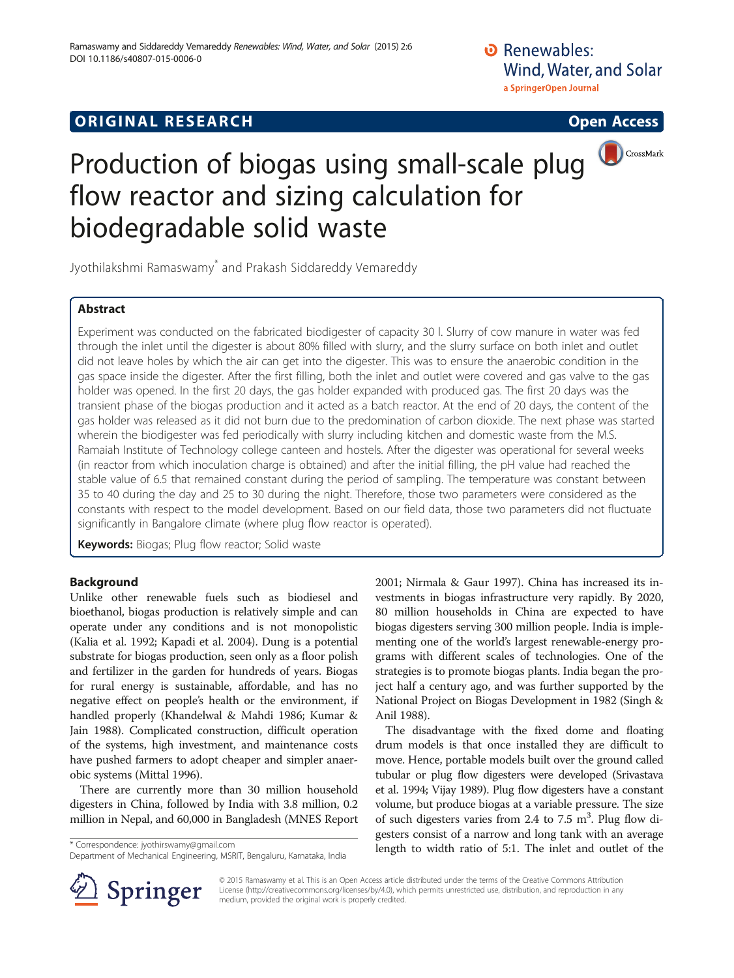O Renewables: Wind, Water, and Solar a SpringerOpen Journal

# **ORIGINAL RESEARCH CONSUMING ACCESS**

# Production of biogas using small-scale plug **OCCOSSMark** flow reactor and sizing calculation for biodegradable solid waste

Jyothilakshmi Ramaswamy\* and Prakash Siddareddy Vemareddy

# Abstract

Experiment was conducted on the fabricated biodigester of capacity 30 l. Slurry of cow manure in water was fed through the inlet until the digester is about 80% filled with slurry, and the slurry surface on both inlet and outlet did not leave holes by which the air can get into the digester. This was to ensure the anaerobic condition in the gas space inside the digester. After the first filling, both the inlet and outlet were covered and gas valve to the gas holder was opened. In the first 20 days, the gas holder expanded with produced gas. The first 20 days was the transient phase of the biogas production and it acted as a batch reactor. At the end of 20 days, the content of the gas holder was released as it did not burn due to the predomination of carbon dioxide. The next phase was started wherein the biodigester was fed periodically with slurry including kitchen and domestic waste from the M.S. Ramaiah Institute of Technology college canteen and hostels. After the digester was operational for several weeks (in reactor from which inoculation charge is obtained) and after the initial filling, the pH value had reached the stable value of 6.5 that remained constant during the period of sampling. The temperature was constant between 35 to 40 during the day and 25 to 30 during the night. Therefore, those two parameters were considered as the constants with respect to the model development. Based on our field data, those two parameters did not fluctuate significantly in Bangalore climate (where plug flow reactor is operated).

Keywords: Biogas; Plug flow reactor; Solid waste

# Background

Unlike other renewable fuels such as biodiesel and bioethanol, biogas production is relatively simple and can operate under any conditions and is not monopolistic (Kalia et al. [1992](#page-3-0); Kapadi et al. [2004](#page-3-0)). Dung is a potential substrate for biogas production, seen only as a floor polish and fertilizer in the garden for hundreds of years. Biogas for rural energy is sustainable, affordable, and has no negative effect on people's health or the environment, if handled properly (Khandelwal & Mahdi [1986](#page-3-0); Kumar & Jain [1988](#page-3-0)). Complicated construction, difficult operation of the systems, high investment, and maintenance costs have pushed farmers to adopt cheaper and simpler anaerobic systems (Mittal [1996](#page-3-0)).

There are currently more than 30 million household digesters in China, followed by India with 3.8 million, 0.2 million in Nepal, and 60,000 in Bangladesh (MNES Report



The disadvantage with the fixed dome and floating drum models is that once installed they are difficult to move. Hence, portable models built over the ground called tubular or plug flow digesters were developed (Srivastava et al. [1994](#page-3-0); Vijay [1989\)](#page-3-0). Plug flow digesters have a constant volume, but produce biogas at a variable pressure. The size of such digesters varies from 2.4 to 7.5  $m^3$ . Plug flow digesters consist of a narrow and long tank with an average length to width ratio of 5:1. The inlet and outlet of the \* Correspondence: [jyothirswamy@gmail.com](mailto:jyothirswamy@gmail.com)



© 2015 Ramaswamy et al. This is an Open Access article distributed under the terms of the Creative Commons Attribution License [\(http://creativecommons.org/licenses/by/4.0\)](http://creativecommons.org/licenses/by/4.0), which permits unrestricted use, distribution, and reproduction in any medium, provided the original work is properly credited.

Department of Mechanical Engineering, MSRIT, Bengaluru, Karnataka, India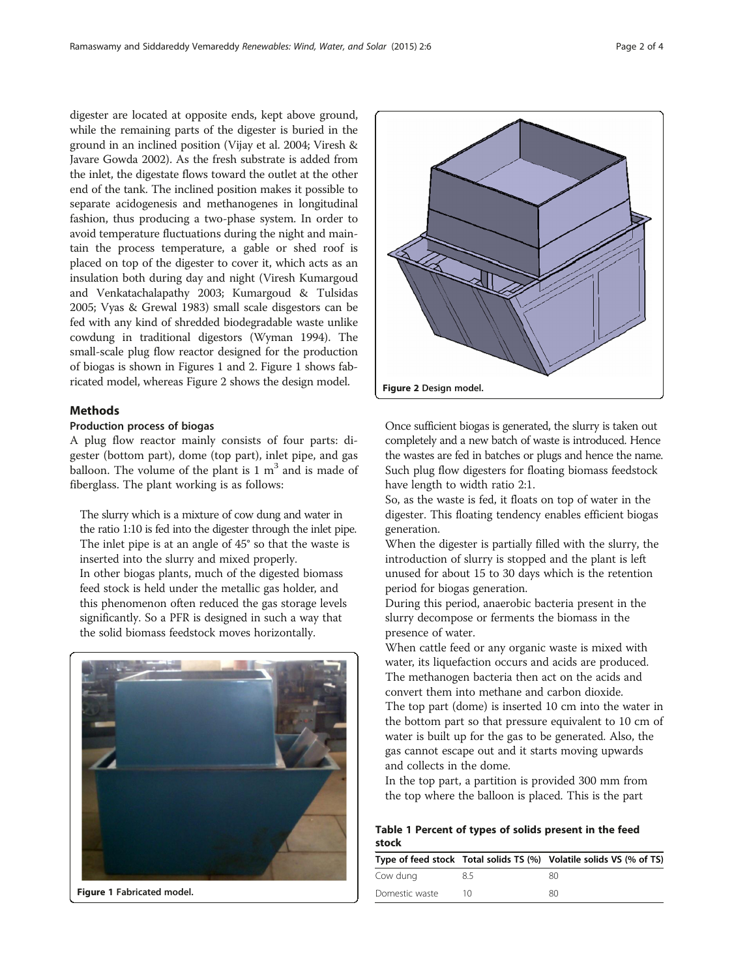<span id="page-1-0"></span>digester are located at opposite ends, kept above ground, while the remaining parts of the digester is buried in the ground in an inclined position (Vijay et al. [2004;](#page-3-0) Viresh & Javare Gowda [2002](#page-3-0)). As the fresh substrate is added from the inlet, the digestate flows toward the outlet at the other end of the tank. The inclined position makes it possible to separate acidogenesis and methanogenes in longitudinal fashion, thus producing a two-phase system. In order to avoid temperature fluctuations during the night and maintain the process temperature, a gable or shed roof is placed on top of the digester to cover it, which acts as an insulation both during day and night (Viresh Kumargoud and Venkatachalapathy [2003;](#page-3-0) Kumargoud & Tulsidas [2005;](#page-3-0) Vyas & Grewal [1983\)](#page-3-0) small scale disgestors can be fed with any kind of shredded biodegradable waste unlike cowdung in traditional digestors (Wyman [1994](#page-3-0)). The small-scale plug flow reactor designed for the production of biogas is shown in Figures 1 and 2. Figure 1 shows fabricated model, whereas Figure 2 shows the design model.

# Methods

#### Production process of biogas

A plug flow reactor mainly consists of four parts: digester (bottom part), dome (top part), inlet pipe, and gas balloon. The volume of the plant is  $1 \text{ m}^3$  and is made of fiberglass. The plant working is as follows:

The slurry which is a mixture of cow dung and water in the ratio 1:10 is fed into the digester through the inlet pipe. The inlet pipe is at an angle of 45° so that the waste is inserted into the slurry and mixed properly. In other biogas plants, much of the digested biomass feed stock is held under the metallic gas holder, and this phenomenon often reduced the gas storage levels significantly. So a PFR is designed in such a way that the solid biomass feedstock moves horizontally.



Figure 1 Fabricated model.



Once sufficient biogas is generated, the slurry is taken out completely and a new batch of waste is introduced. Hence the wastes are fed in batches or plugs and hence the name. Such plug flow digesters for floating biomass feedstock have length to width ratio 2:1.

So, as the waste is fed, it floats on top of water in the digester. This floating tendency enables efficient biogas generation.

When the digester is partially filled with the slurry, the introduction of slurry is stopped and the plant is left unused for about 15 to 30 days which is the retention period for biogas generation.

During this period, anaerobic bacteria present in the slurry decompose or ferments the biomass in the presence of water.

When cattle feed or any organic waste is mixed with water, its liquefaction occurs and acids are produced. The methanogen bacteria then act on the acids and convert them into methane and carbon dioxide.

The top part (dome) is inserted 10 cm into the water in the bottom part so that pressure equivalent to 10 cm of water is built up for the gas to be generated. Also, the gas cannot escape out and it starts moving upwards and collects in the dome.

In the top part, a partition is provided 300 mm from the top where the balloon is placed. This is the part

# Table 1 Percent of types of solids present in the feed stock

|                |     | Type of feed stock Total solids TS (%) Volatile solids VS (% of TS) |
|----------------|-----|---------------------------------------------------------------------|
| Cow dung       | 8.5 | 80                                                                  |
| Domestic waste | 1Λ  | 80                                                                  |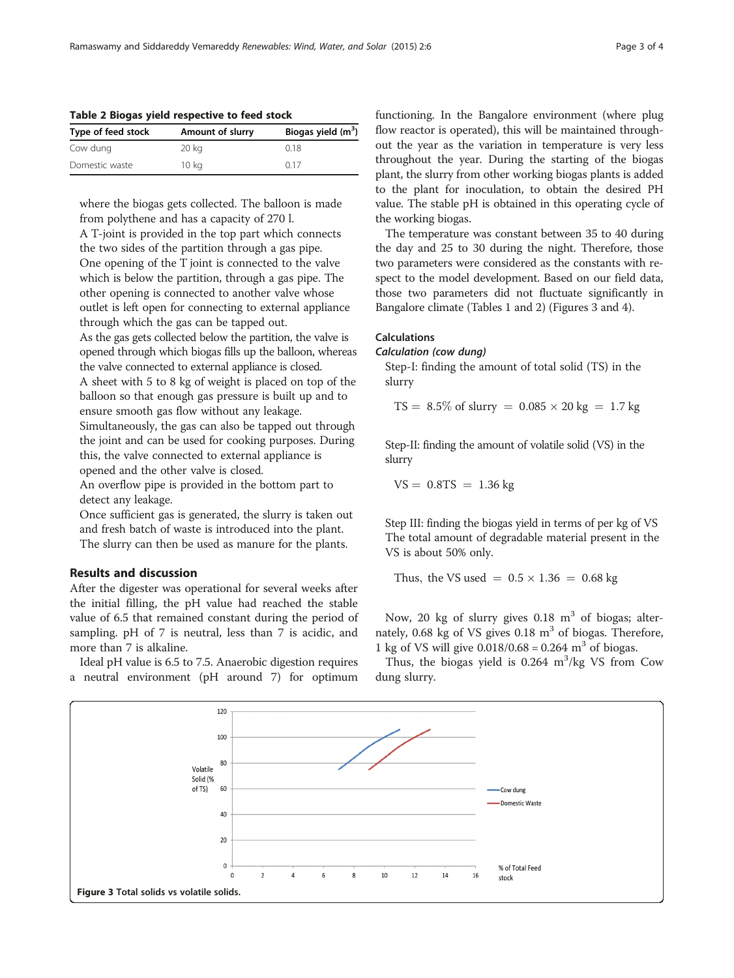Table 2 Biogas yield respective to feed stock

| Type of feed stock | Amount of slurry | Biogas yield $(m^3)$ |
|--------------------|------------------|----------------------|
| Cow dung           | 20 kg            | 0.18                 |
| Domestic waste     | 10 kg            | 017                  |

where the biogas gets collected. The balloon is made from polythene and has a capacity of 270 l.

A T-joint is provided in the top part which connects the two sides of the partition through a gas pipe. One opening of the T joint is connected to the valve which is below the partition, through a gas pipe. The other opening is connected to another valve whose outlet is left open for connecting to external appliance through which the gas can be tapped out. As the gas gets collected below the partition, the valve is opened through which biogas fills up the balloon, whereas the valve connected to external appliance is closed. A sheet with 5 to 8 kg of weight is placed on top of the balloon so that enough gas pressure is built up and to ensure smooth gas flow without any leakage.

Simultaneously, the gas can also be tapped out through the joint and can be used for cooking purposes. During this, the valve connected to external appliance is opened and the other valve is closed.

An overflow pipe is provided in the bottom part to detect any leakage.

Once sufficient gas is generated, the slurry is taken out and fresh batch of waste is introduced into the plant. The slurry can then be used as manure for the plants.

### Results and discussion

After the digester was operational for several weeks after the initial filling, the pH value had reached the stable value of 6.5 that remained constant during the period of sampling. pH of 7 is neutral, less than 7 is acidic, and more than 7 is alkaline.

Ideal pH value is 6.5 to 7.5. Anaerobic digestion requires a neutral environment (pH around 7) for optimum functioning. In the Bangalore environment (where plug flow reactor is operated), this will be maintained throughout the year as the variation in temperature is very less throughout the year. During the starting of the biogas plant, the slurry from other working biogas plants is added to the plant for inoculation, to obtain the desired PH value. The stable pH is obtained in this operating cycle of the working biogas.

The temperature was constant between 35 to 40 during the day and 25 to 30 during the night. Therefore, those two parameters were considered as the constants with respect to the model development. Based on our field data, those two parameters did not fluctuate significantly in Bangalore climate (Tables [1](#page-1-0) and 2) (Figures 3 and [4\)](#page-3-0).

#### Calculations

# Calculation (cow dung)

Step-I: finding the amount of total solid (TS) in the slurry

$$
TS = 8.5\% \text{ of slarry} = 0.085 \times 20 \text{ kg} = 1.7 \text{ kg}
$$

Step-II: finding the amount of volatile solid (VS) in the slurry

$$
VS = 0.8TS = 1.36 \text{ kg}
$$

Step III: finding the biogas yield in terms of per kg of VS The total amount of degradable material present in the VS is about 50% only.

Thus, the VS used  $= 0.5 \times 1.36 = 0.68$  kg

Now, 20 kg of slurry gives  $0.18 \text{ m}^3$  of biogas; alternately, 0.68 kg of VS gives  $0.18 \text{ m}^3$  of biogas. Therefore, 1 kg of VS will give  $0.018/0.68 = 0.264$  m<sup>3</sup> of biogas.

Thus, the biogas yield is  $0.264 \, \text{m}^3/\text{kg}$  VS from Cow dung slurry.